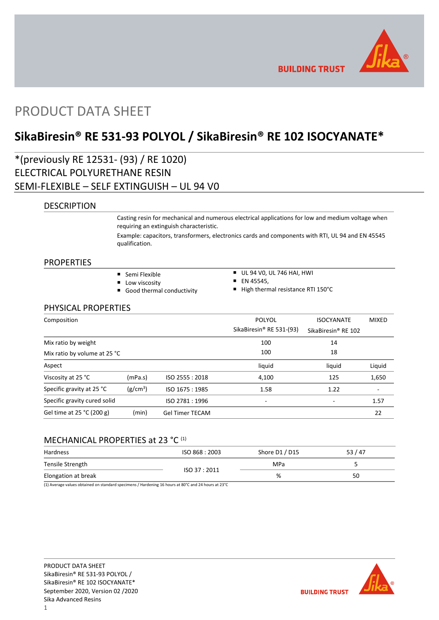

**BUILDING TRUST** 

# PRODUCT DATA SHEET

# **SikaBiresin® RE 531-93 POLYOL / SikaBiresin® RE 102 ISOCYANATE\***

\*(previously RE 12531- (93) / RE 1020) ELECTRICAL POLYURETHANE RESIN SEMI-FLEXIBLE – SELF EXTINGUISH – UL 94 V0

### **DESCRIPTION**

Casting resin for mechanical and numerous electrical applications for low and medium voltage when requiring an extinguish characteristic.

Example: capacitors, transformers, electronics cards and components with RTI, UL 94 and EN 45545 qualification.

### **PROPERTIES**

- Semi Flexible
- 
- **Low viscosity** Good thermal conductivity
- **UL 94 VO, UL 746 HAI, HWI**
- **EN 45545.**
- High thermal resistance RTI 150°C

### PHYSICAL PROPERTIES

| Composition                  |                      |                        | POLYOL                               | <b>ISOCYANATE</b>               | <b>MIXED</b> |
|------------------------------|----------------------|------------------------|--------------------------------------|---------------------------------|--------------|
|                              |                      |                        | SikaBiresin <sup>®</sup> RE 531-(93) | SikaBiresin <sup>®</sup> RE 102 |              |
| Mix ratio by weight          |                      |                        | 100                                  | 14                              |              |
| Mix ratio by volume at 25 °C |                      |                        | 100                                  | 18                              |              |
| Aspect                       |                      |                        | liquid                               | liquid                          | Liquid       |
| Viscosity at 25 °C           | (mPa.s)              | ISO 2555: 2018         | 4,100                                | 125                             | 1,650        |
| Specific gravity at 25 °C    | (g/cm <sup>3</sup> ) | ISO 1675: 1985         | 1.58                                 | 1.22                            |              |
| Specific gravity cured solid |                      | ISO 2781:1996          | $\overline{\phantom{0}}$             |                                 | 1.57         |
| Gel time at 25 °C (200 g)    | (min)                | <b>Gel Timer TECAM</b> |                                      |                                 | 22           |

### MECHANICAL PROPERTIES at 23 °C (1)

| Shore D1 / D15<br>ISO 868 : 2003 | 53/47                                                                                                                                                                                                                          |
|----------------------------------|--------------------------------------------------------------------------------------------------------------------------------------------------------------------------------------------------------------------------------|
| MPa                              |                                                                                                                                                                                                                                |
| %                                | 50                                                                                                                                                                                                                             |
|                                  | $\ell$ and the state of the state of the state of the state of the state of the state of the state of the state of the state of the state of the state of the state of the state of the state of the state of the state of the |

(1) Average values obtained on standard specimens / Hardening 16 hours at 80°C and 24 hours at 23°C

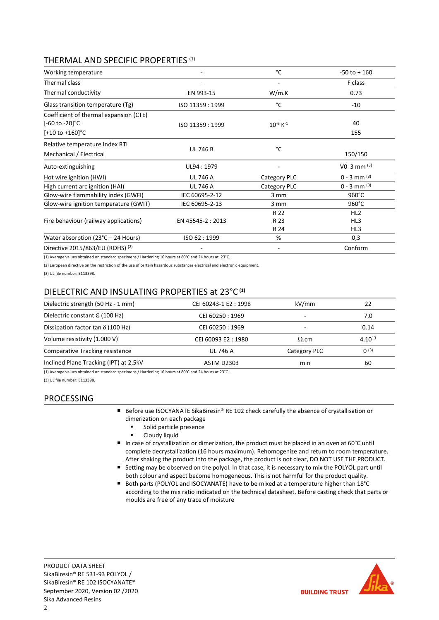# THERMAL AND SPECIFIC PROPERTIES (1)

| Working temperature                                                         |                  | °C                        | $-50$ to $+160$               |
|-----------------------------------------------------------------------------|------------------|---------------------------|-------------------------------|
| Thermal class                                                               |                  |                           | F class                       |
| Thermal conductivity                                                        | EN 993-15        | W/m.K                     | 0.73                          |
| Glass transition temperature (Tg)                                           | ISO 11359: 1999  | °C                        | -10                           |
| Coefficient of thermal expansion (CTE)<br>[-60 to -20]°C<br>[+10 to +160]°C | ISO 11359: 1999  | $10^{-6}$ K <sup>-1</sup> | 40<br>155                     |
| Relative temperature Index RTI<br>Mechanical / Electrical                   | <b>UL 746 B</b>  | °C                        | 150/150                       |
| Auto-extinguishing                                                          | UL94: 1979       |                           | V <sub>0</sub> 3 mm $(3)$     |
| Hot wire ignition (HWI)                                                     | <b>UL 746 A</b>  | Category PLC              | $0 - 3$ mm $(3)$              |
| High current arc ignition (HAI)                                             | <b>UL 746 A</b>  | Category PLC              | $0 - 3$ mm $(3)$              |
| Glow-wire flammability index (GWFI)                                         | IEC 60695-2-12   | 3 mm                      | $960^{\circ}$ C               |
| Glow-wire ignition temperature (GWIT)                                       | IEC 60695-2-13   | 3 mm                      | $960^{\circ}$ C               |
| Fire behaviour (railway applications)                                       | EN 45545-2: 2013 | R 22<br>R 23<br>R 24      | HL <sub>2</sub><br>HL3<br>HL3 |
| Water absorption $(23^{\circ}C - 24$ Hours)                                 | ISO 62:1999      | %                         | 0,3                           |
| Directive 2015/863/EU (ROHS) (2)                                            |                  |                           | Conform                       |

(1) Average values obtained on standard specimens / Hardening 16 hours at 80°C and 24 hours at 23°C.

(2) European directive on the restriction of the use of certain hazardous substances electrical and electronic equipment.

(3) UL file number: E113398.

## DIELECTRIC AND INSULATING PROPERTIES at 23°C **(1)**

| Dielectric strength (50 Hz - 1 mm)       | CEI 60243-1 E2: 1998 | kV/mm                    |             |
|------------------------------------------|----------------------|--------------------------|-------------|
| Dielectric constant $\epsilon$ (100 Hz)  | CEI 60250 : 1969     | $\overline{\phantom{0}}$ | 7.0         |
| Dissipation factor tan $\delta$ (100 Hz) | CEI 60250 : 1969     | $\overline{\phantom{0}}$ | 0.14        |
| Volume resistivity (1.000 V)             | CEI 60093 E2:1980    | $\Omega$ .cm             | $4.10^{13}$ |
| <b>Comparative Tracking resistance</b>   | UL 746 A             | Category PLC             | (3)         |
| Inclined Plane Tracking (IPT) at 2,5kV   | ASTM D2303           | min                      | 60          |

(1) Average values obtained on standard specimens / Hardening 16 hours at 80°C and 24 hours at 23°C.

(3) UL file number: E113398.

## PROCESSING

- Before use ISOCYANATE SikaBiresin® RE 102 check carefully the absence of crystallisation or dimerization on each package
	- **Solid particle presence**
	- **-** Cloudy liquid
- In case of crystallization or dimerization, the product must be placed in an oven at 60°C until complete decrystallization (16 hours maximum). Rehomogenize and return to room temperature. After shaking the product into the package, the product is not clear, DO NOT USE THE PRODUCT.
- Setting may be observed on the polyol. In that case, it is necessary to mix the POLYOL part until both colour and aspect become homogeneous. This is not harmful for the product quality.
- Both parts (POLYOL and ISOCYANATE) have to be mixed at a temperature higher than 18°C according to the mix ratio indicated on the technical datasheet. Before casting check that parts or moulds are free of any trace of moisture

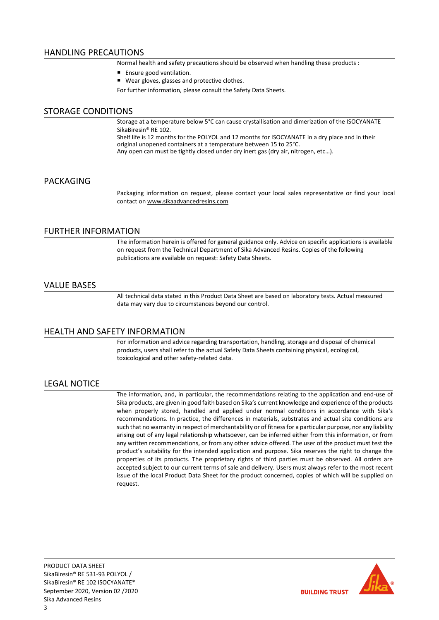### HANDLING PRECAUTIONS

Normal health and safety precautions should be observed when handling these products :

- **Ensure good ventilation.**
- Wear gloves, glasses and protective clothes.

For further information, please consult the Safety Data Sheets.

### STORAGE CONDITIONS

Storage at a temperature below 5°C can cause crystallisation and dimerization of the ISOCYANATE SikaBiresin® RE 102.

Shelf life is 12 months for the POLYOL and 12 months for ISOCYANATE in a dry place and in their original unopened containers at a temperature between 15 to 25°C. Any open can must be tightly closed under dry inert gas (dry air, nitrogen, etc…).

### PACKAGING

Packaging information on request, please contact your local sales representative or find your local contact on [www.sikaadvancedresins.com](http://www.sikaadvancedresins.com/)

### FURTHER INFORMATION

The information herein is offered for general guidance only. Advice on specific applications is available on request from the Technical Department of Sika Advanced Resins. Copies of the following publications are available on request: Safety Data Sheets.

### VALUE BASES

All technical data stated in this Product Data Sheet are based on laboratory tests. Actual measured data may vary due to circumstances beyond our control.

### HEALTH AND SAFETY INFORMATION

For information and advice regarding transportation, handling, storage and disposal of chemical products, users shall refer to the actual Safety Data Sheets containing physical, ecological, toxicological and other safety-related data.

### LEGAL NOTICE

The information, and, in particular, the recommendations relating to the application and end-use of Sika products, are given in good faith based on Sika's current knowledge and experience of the products when properly stored, handled and applied under normal conditions in accordance with Sika's recommendations. In practice, the differences in materials, substrates and actual site conditions are such that no warranty in respect of merchantability or of fitness for a particular purpose, nor any liability arising out of any legal relationship whatsoever, can be inferred either from this information, or from any written recommendations, or from any other advice offered. The user of the product must test the product's suitability for the intended application and purpose. Sika reserves the right to change the properties of its products. The proprietary rights of third parties must be observed. All orders are accepted subject to our current terms of sale and delivery. Users must always refer to the most recent issue of the local Product Data Sheet for the product concerned, copies of which will be supplied on request.

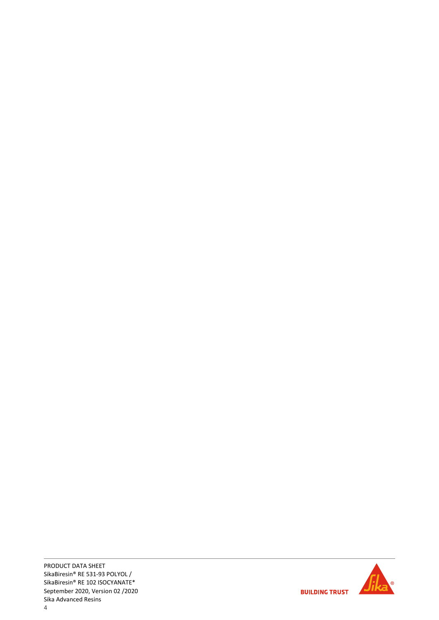